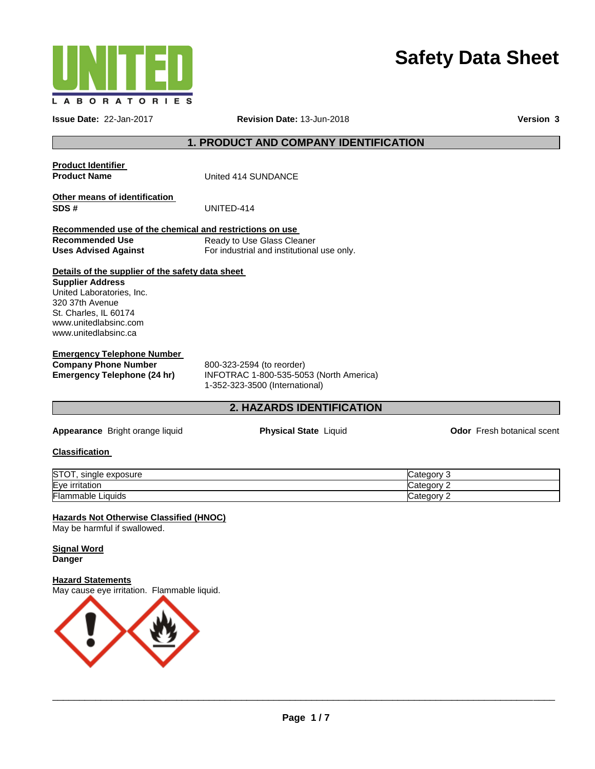

# **Safety Data Sheet**

**Issue Date:** 22-Jan-2017 **Revision Date:** 13-Jun-2018 **Version 3**

# **1. PRODUCT AND COMPANY IDENTIFICATION**

**Product Identifier** 

**United 414 SUNDANCE** 

**Other means of identification SDS #** UNITED-414

**Recommended use of the chemical and restrictions on use Recommended Use Uses Advised Against** Ready to Use Glass Cleaner For industrial and institutional use only.

#### **Details of the supplier of the safety data sheet**

**Supplier Address** United Laboratories, Inc. 320 37th Avenue St. Charles, IL 60174 www.unitedlabsinc.com www.unitedlabsinc.ca

# **Emergency Telephone Number**

**Company Phone Number** 800-323-2594 (to reorder)<br> **Emergency Telephone (24 hr)** INFOTRAC 1-800-535-509

**Emergency Telephone (24 hr)** INFOTRAC 1-800-535-5053 (North America) 1-352-323-3500 (International)

# **2. HAZARDS IDENTIFICATION**

**Appearance** Bright orange liquid **Physical State** Liquid **Odor** Fresh botanical scent

# **Classification**

| STOT,<br>exposure<br>single | ∵ategory.<br>. . |
|-----------------------------|------------------|
| Eve<br>ritatior<br>ır       | ′ ategoryب       |
| Flammable.<br>Liauids       | ∵ategoryٽ<br>-   |

# **Hazards Not Otherwise Classified (HNOC)**

May be harmful if swallowed.

#### **Signal Word Danger**

#### **Hazard Statements**

May cause eye irritation. Flammable liquid.

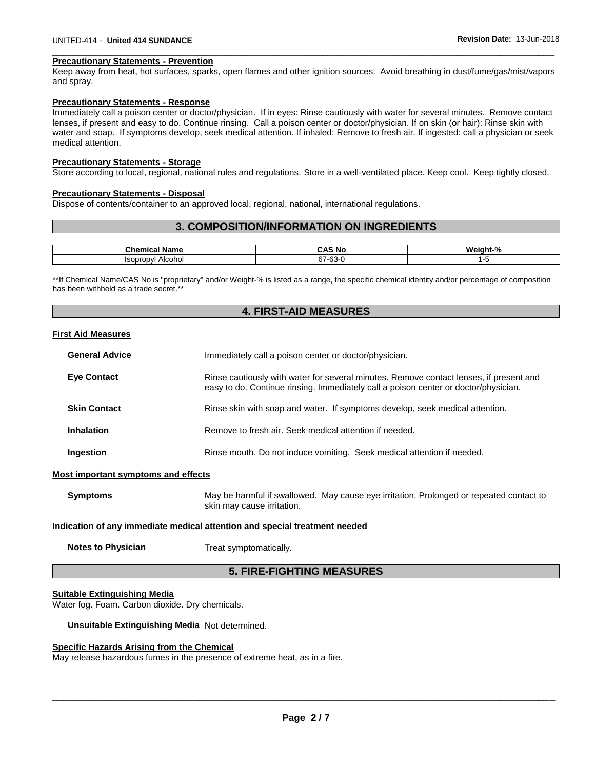#### **Precautionary Statements - Prevention**

Keep away from heat, hot surfaces, sparks, open flames and other ignition sources. Avoid breathing in dust/fume/gas/mist/vapors and spray.

\_\_\_\_\_\_\_\_\_\_\_\_\_\_\_\_\_\_\_\_\_\_\_\_\_\_\_\_\_\_\_\_\_\_\_\_\_\_\_\_\_\_\_\_\_\_\_\_\_\_\_\_\_\_\_\_\_\_\_\_\_\_\_\_\_\_\_\_\_\_\_\_\_\_\_\_\_\_\_\_\_\_\_\_\_\_\_\_\_\_\_\_\_

#### **Precautionary Statements - Response**

Immediately call a poison center or doctor/physician. If in eyes: Rinse cautiously with water for several minutes. Remove contact lenses, if present and easy to do. Continue rinsing. Call a poison center or doctor/physician. If on skin (or hair): Rinse skin with water and soap. If symptoms develop, seek medical attention. If inhaled: Remove to fresh air. If ingested: call a physician or seek medical attention.

#### **Precautionary Statements - Storage**

Store according to local, regional, national rules and regulations. Store in a well-ventilated place. Keep cool. Keep tightly closed.

#### **Precautionary Statements - Disposal**

Dispose of contents/container to an approved local, regional, national, international regulations.

### **3. COMPOSITION/INFORMATION ON INGREDIENTS**

| Chemical<br>Name                         | CAS.<br>Nc د                 | Weight-%    |
|------------------------------------------|------------------------------|-------------|
| Alcohol<br><b>Isopropyl</b><br>.<br>$ -$ | C7<br>CO.<br>ו כ<br>ັບບ<br>. | ັ<br>$\sim$ |

\*\*If Chemical Name/CAS No is "proprietary" and/or Weight-% is listed as a range, the specific chemical identity and/or percentage of composition has been withheld as a trade secret.\*\*

# **4. FIRST-AID MEASURES**

#### **First Aid Measures**

| <b>General Advice</b> | Immediately call a poison center or doctor/physician.                                                                                                                         |  |
|-----------------------|-------------------------------------------------------------------------------------------------------------------------------------------------------------------------------|--|
| <b>Eye Contact</b>    | Rinse cautiously with water for several minutes. Remove contact lenses, if present and<br>easy to do. Continue rinsing. Immediately call a poison center or doctor/physician. |  |
| <b>Skin Contact</b>   | Rinse skin with soap and water. If symptoms develop, seek medical attention.                                                                                                  |  |
| Inhalation            | Remove to fresh air. Seek medical attention if needed.                                                                                                                        |  |
| Ingestion             | Rinse mouth. Do not induce vomiting. Seek medical attention if needed.                                                                                                        |  |

#### **Most important symptoms and effects**

**Symptoms** May be harmful if swallowed. May cause eye irritation. Prolonged or repeated contact to skin may cause irritation.

#### **Indication of any immediate medical attention and special treatment needed**

**Notes to Physician**  Treat symptomatically.

# **5. FIRE-FIGHTING MEASURES**

#### **Suitable Extinguishing Media**

Water fog. Foam. Carbon dioxide. Dry chemicals.

**Unsuitable Extinguishing Media** Not determined.

#### **Specific Hazards Arising from the Chemical**

May release hazardous fumes in the presence of extreme heat, as in a fire.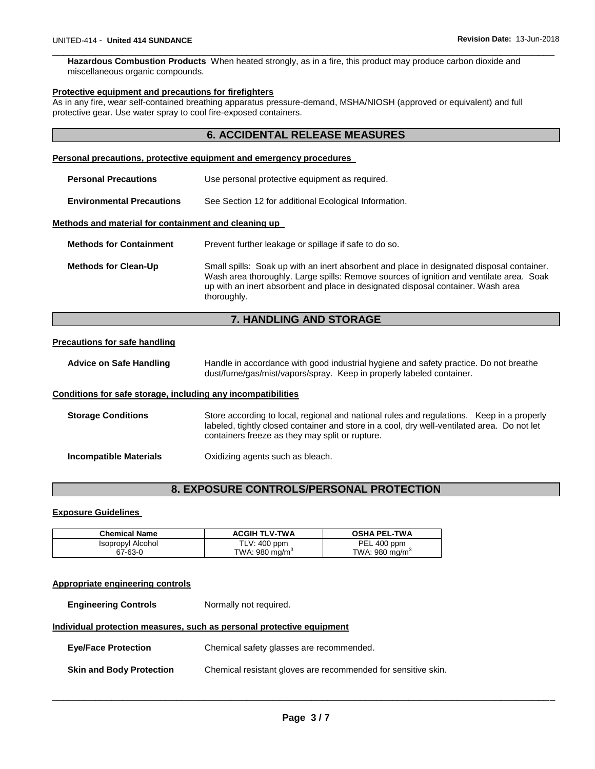**Hazardous Combustion Products** When heated strongly, as in a fire, this product may produce carbon dioxide and miscellaneous organic compounds.

\_\_\_\_\_\_\_\_\_\_\_\_\_\_\_\_\_\_\_\_\_\_\_\_\_\_\_\_\_\_\_\_\_\_\_\_\_\_\_\_\_\_\_\_\_\_\_\_\_\_\_\_\_\_\_\_\_\_\_\_\_\_\_\_\_\_\_\_\_\_\_\_\_\_\_\_\_\_\_\_\_\_\_\_\_\_\_\_\_\_\_\_\_

#### **Protective equipment and precautions for firefighters**

As in any fire, wear self-contained breathing apparatus pressure-demand, MSHA/NIOSH (approved or equivalent) and full protective gear. Use water spray to cool fire-exposed containers.

# **6. ACCIDENTAL RELEASE MEASURES**

# **Personal precautions, protective equipment and emergency procedures**

| <b>Personal Precautions</b>                          | Use personal protective equipment as required.                                                                                                                                                                                                                                          |
|------------------------------------------------------|-----------------------------------------------------------------------------------------------------------------------------------------------------------------------------------------------------------------------------------------------------------------------------------------|
| <b>Environmental Precautions</b>                     | See Section 12 for additional Ecological Information.                                                                                                                                                                                                                                   |
| Methods and material for containment and cleaning up |                                                                                                                                                                                                                                                                                         |
| <b>Methods for Containment</b>                       | Prevent further leakage or spillage if safe to do so.                                                                                                                                                                                                                                   |
| <b>Methods for Clean-Up</b>                          | Small spills: Soak up with an inert absorbent and place in designated disposal container.<br>Wash area thoroughly. Large spills: Remove sources of ignition and ventilate area. Soak<br>up with an inert absorbent and place in designated disposal container. Wash area<br>thoroughly. |

# **7. HANDLING AND STORAGE**

# **Precautions for safe handling**

| <b>Advice on Safe Handling</b> | Handle in accordance with good industrial hygiene and safety practice. Do not breathe |
|--------------------------------|---------------------------------------------------------------------------------------|
|                                | dust/fume/gas/mist/vapors/spray. Keep in properly labeled container.                  |

#### **Conditions for safe storage, including any incompatibilities**

| <b>Storage Conditions</b> | Store according to local, regional and national rules and regulations. Keep in a properly<br>labeled, tightly closed container and store in a cool, dry well-ventilated area. Do not let<br>containers freeze as they may split or rupture. |
|---------------------------|---------------------------------------------------------------------------------------------------------------------------------------------------------------------------------------------------------------------------------------------|
| Incompatible Materials    | Oxidizing agents such as bleach.                                                                                                                                                                                                            |

# **8. EXPOSURE CONTROLS/PERSONAL PROTECTION**

#### **Exposure Guidelines**

| <b>Chemical Name</b> | <b>ACGIH TLV-TWA</b> | <b>OSHA PEL-TWA</b>        |
|----------------------|----------------------|----------------------------|
| Isopropyl Alcohol    | $TLV: 400$ ppm       | PEL 400 ppm                |
| 67-63-0              | TWA: 980 mg/m $3$    | TWA: 980 mg/m <sup>3</sup> |

#### **Appropriate engineering controls**

**Engineering Controls Normally not required.** 

#### **Individual protection measures, such as personal protective equipment**

| <b>Eve/Face Protection</b>      | Chemical safety glasses are recommended.                      |
|---------------------------------|---------------------------------------------------------------|
| <b>Skin and Body Protection</b> | Chemical resistant gloves are recommended for sensitive skin. |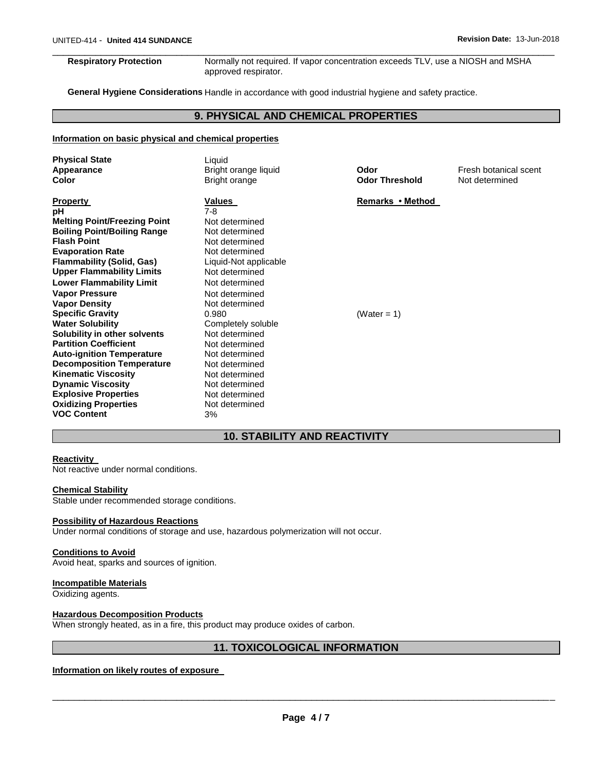\_\_\_\_\_\_\_\_\_\_\_\_\_\_\_\_\_\_\_\_\_\_\_\_\_\_\_\_\_\_\_\_\_\_\_\_\_\_\_\_\_\_\_\_\_\_\_\_\_\_\_\_\_\_\_\_\_\_\_\_\_\_\_\_\_\_\_\_\_\_\_\_\_\_\_\_\_\_\_\_\_\_\_\_\_\_\_\_\_\_\_\_\_ **Respiratory Protection** Normally not required. If vapor concentration exceeds TLV, use a NIOSH and MSHA approved respirator.

**General Hygiene Considerations** Handle in accordance with good industrial hygiene and safety practice.

# **9. PHYSICAL AND CHEMICAL PROPERTIES**

#### **Information on basic physical and chemical properties**

| <b>Physical State</b><br>Appearance<br>Color                                                                                                                                                                                                                                                                                                                                                                                                                                                                                                                                                                                          | Liquid<br>Bright orange liquid<br>Bright orange                                                                                                                                                                                                                                                                                                                       | Odor<br><b>Odor Threshold</b>   | Fresh botanical scent<br>Not determined |
|---------------------------------------------------------------------------------------------------------------------------------------------------------------------------------------------------------------------------------------------------------------------------------------------------------------------------------------------------------------------------------------------------------------------------------------------------------------------------------------------------------------------------------------------------------------------------------------------------------------------------------------|-----------------------------------------------------------------------------------------------------------------------------------------------------------------------------------------------------------------------------------------------------------------------------------------------------------------------------------------------------------------------|---------------------------------|-----------------------------------------|
| <b>Property</b><br>рH<br><b>Melting Point/Freezing Point</b><br><b>Boiling Point/Boiling Range</b><br><b>Flash Point</b><br><b>Evaporation Rate</b><br><b>Flammability (Solid, Gas)</b><br><b>Upper Flammability Limits</b><br><b>Lower Flammability Limit</b><br><b>Vapor Pressure</b><br><b>Vapor Density</b><br><b>Specific Gravity</b><br><b>Water Solubility</b><br>Solubility in other solvents<br><b>Partition Coefficient</b><br><b>Auto-ignition Temperature</b><br><b>Decomposition Temperature</b><br><b>Kinematic Viscosity</b><br><b>Dynamic Viscosity</b><br><b>Explosive Properties</b><br><b>Oxidizing Properties</b> | Values<br>7-8<br>Not determined<br>Not determined<br>Not determined<br>Not determined<br>Liquid-Not applicable<br>Not determined<br>Not determined<br>Not determined<br>Not determined<br>0.980<br>Completely soluble<br>Not determined<br>Not determined<br>Not determined<br>Not determined<br>Not determined<br>Not determined<br>Not determined<br>Not determined | Remarks • Method<br>(Water = 1) |                                         |
| <b>VOC Content</b>                                                                                                                                                                                                                                                                                                                                                                                                                                                                                                                                                                                                                    | 3%                                                                                                                                                                                                                                                                                                                                                                    |                                 |                                         |

# **10. STABILITY AND REACTIVITY**

#### **Reactivity**

Not reactive under normal conditions.

#### **Chemical Stability**

Stable under recommended storage conditions.

#### **Possibility of Hazardous Reactions**

Under normal conditions of storage and use, hazardous polymerization will not occur.

#### **Conditions to Avoid**

Avoid heat, sparks and sources of ignition.

# **Incompatible Materials**

Oxidizing agents.

#### **Hazardous Decomposition Products**

When strongly heated, as in a fire, this product may produce oxides of carbon.

# **11. TOXICOLOGICAL INFORMATION**

#### **Information on likely routes of exposure**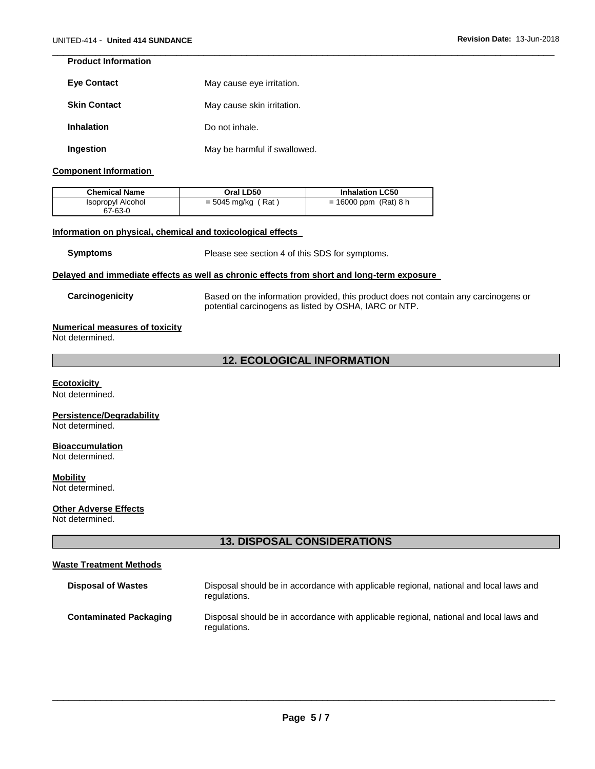# **Product Information**

| <b>Eve Contact</b>  | May cause eye irritation.    |  |
|---------------------|------------------------------|--|
| <b>Skin Contact</b> | May cause skin irritation.   |  |
| <b>Inhalation</b>   | Do not inhale.               |  |
| Ingestion           | May be harmful if swallowed. |  |

#### **Component Information**

| <b>Chemical Name</b>         | Oral LD50            | <b>Inhalation LC50</b>  |
|------------------------------|----------------------|-------------------------|
| Isopropyl Alcohol<br>67-63-0 | $=$ 5045 mg/kg (Rat) | $= 16000$ ppm (Rat) 8 h |

#### **Information on physical, chemical and toxicological effects**

**Symptoms** Please see section 4 of this SDS for symptoms.

\_\_\_\_\_\_\_\_\_\_\_\_\_\_\_\_\_\_\_\_\_\_\_\_\_\_\_\_\_\_\_\_\_\_\_\_\_\_\_\_\_\_\_\_\_\_\_\_\_\_\_\_\_\_\_\_\_\_\_\_\_\_\_\_\_\_\_\_\_\_\_\_\_\_\_\_\_\_\_\_\_\_\_\_\_\_\_\_\_\_\_\_\_

#### **Delayed and immediate effects as well as chronic effects from short and long-term exposure**

**Carcinogenicity** Based on the information provided, this product does not contain any carcinogens or potential carcinogens as listed by OSHA, IARC or NTP.

#### **Numerical measures of toxicity**

Not determined.

# **12. ECOLOGICAL INFORMATION**

#### **Ecotoxicity**

Not determined.

# **Persistence/Degradability**

Not determined.

# **Bioaccumulation**

Not determined.

# **Mobility**

Not determined.

# **Other Adverse Effects**

Not determined.

# **13. DISPOSAL CONSIDERATIONS**

# **Waste Treatment Methods**

| <b>Disposal of Wastes</b>     | Disposal should be in accordance with applicable regional, national and local laws and<br>regulations. |
|-------------------------------|--------------------------------------------------------------------------------------------------------|
| <b>Contaminated Packaging</b> | Disposal should be in accordance with applicable regional, national and local laws and<br>regulations. |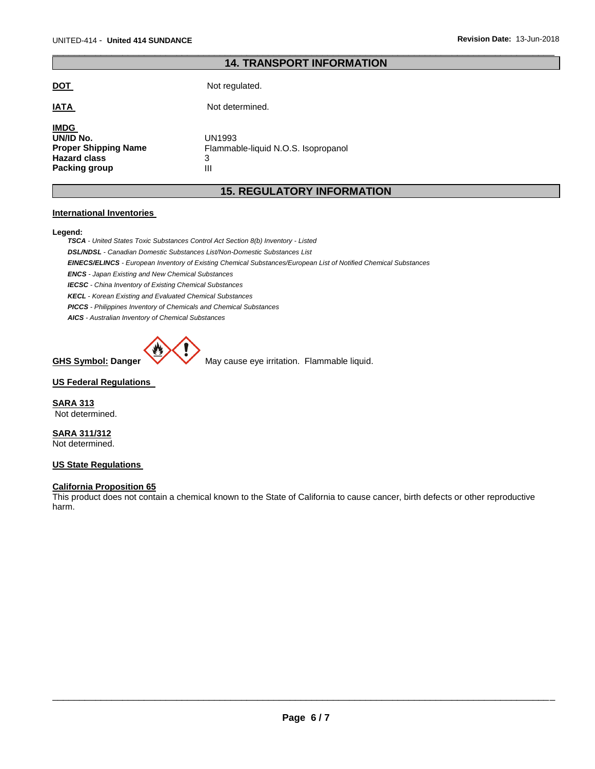# \_\_\_\_\_\_\_\_\_\_\_\_\_\_\_\_\_\_\_\_\_\_\_\_\_\_\_\_\_\_\_\_\_\_\_\_\_\_\_\_\_\_\_\_\_\_\_\_\_\_\_\_\_\_\_\_\_\_\_\_\_\_\_\_\_\_\_\_\_\_\_\_\_\_\_\_\_\_\_\_\_\_\_\_\_\_\_\_\_\_\_\_\_ **14. TRANSPORT INFORMATION**

| DO L                                                                                            | Not regulated.                                          |
|-------------------------------------------------------------------------------------------------|---------------------------------------------------------|
| <b>IATA</b>                                                                                     | Not determined.                                         |
| <b>IMDG</b><br>UN/ID No.<br><b>Proper Shipping Name</b><br><b>Hazard class</b><br>Packing group | UN1993<br>Flammable-liquid N.O.S. Isopropanol<br>3<br>Ш |

# **15. REGULATORY INFORMATION**

#### **International Inventories**

#### **Legend:**

*TSCA - United States Toxic Substances Control Act Section 8(b) Inventory - Listed*

*DSL/NDSL - Canadian Domestic Substances List/Non-Domestic Substances List* 

*EINECS/ELINCS - European Inventory of Existing Chemical Substances/European List of Notified Chemical Substances* 

*ENCS - Japan Existing and New Chemical Substances* 

*IECSC - China Inventory of Existing Chemical Substances* 

*KECL - Korean Existing and Evaluated Chemical Substances* 

*PICCS - Philippines Inventory of Chemicals and Chemical Substances* 

*AICS - Australian Inventory of Chemical Substances* 



**GHS Symbol: Danger WARED May cause eye irritation. Flammable liquid.** 

#### **US Federal Regulations**

**SARA 313** Not determined.

**SARA 311/312** Not determined.

### **US State Regulations**

# **California Proposition 65**

This product does not contain a chemical known to the State of California to cause cancer, birth defects or other reproductive harm.